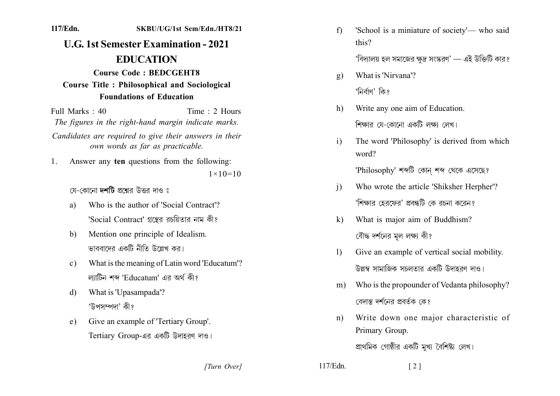SKBU/UG/1st Sem/Edn./HT8/21

## **U.G. 1st Semester Examination - 2021 EDUCATION**

117/Edn.

## **Course Code: BEDCGEHT8 Course Title: Philosophical and Sociological Foundations of Education**

Time  $\cdot$  2 Hours Full Marks  $\cdot$  40 The figures in the right-hand margin indicate marks. Candidates are required to give their answers in their

own words as far as practicable.

Answer any ten questions from the following:  $1_{-}$  $1 \times 10 = 10$ 

যে-কোনো দশটি প্রশ্নের উত্তর দাও ঃ

- Who is the author of 'Social Contract'? a) 'Social Contract' গ্রন্থের রচয়িতার নাম কী?
- Mention one principle of Idealism.  $h)$ ভাববাদেব একটি নীতি উল্লেখ কব।
- What is the meaning of Latin word 'Educatum'?  $c)$ ল্যাটিন শব্দ 'Educatum' এর অর্থ কী?
- What is 'Upasampada'? d) 'উপসম্পদা' কী?
- Give an example of 'Tertiary Group'.  $e)$ Tertiary Group-এর একটি উদাহরণ দাও।

 $f$ 'School is a miniature of society'- who said this?

'বিদ্যালয় হল সমাজের ক্ষদ্র সংস্করণ' — এই উক্তিটি কার?

- What is 'Nirvana'?  $g)$ 'নিৰ্বাণ' কি?
- Write any one aim of Education. h) শিক্ষার যে-কোনো একটি লক্ষ্য লেখ।
- The word 'Philosophy' is derived from which  $\mathbf{i}$ word?

'Philosophy' শব্দটি কোন শব্দ থেকে এসেছে?

- Who wrote the article 'Shiksher Herpher'?  $\overline{1}$ 'শিক্ষার হেরফের' প্রবন্ধটি কে রচনা করেন?
- What is major aim of Buddhism?  $\mathbf{k}$ বৌদ্ধ দর্শনের মল লক্ষ্য কী?
- $\mathbf{D}$ Give an example of vertical social mobility. উল্লম্ব সামাজিক সচলতার একটি উদাহরণ দাও।
- m) Who is the propounder of Vedanta philosophy? বেদান্ত দর্শনের প্রক্কি কে?
- Write down one major characteristic of  $n$ ) Primary Group.

প্রাথমিক গোষ্ঠীর একটি মখ্য বৈশিষ্ট্য লেখ।

 $\begin{bmatrix} 2 \end{bmatrix}$ 

[Turn Over]

 $117/Edn$ .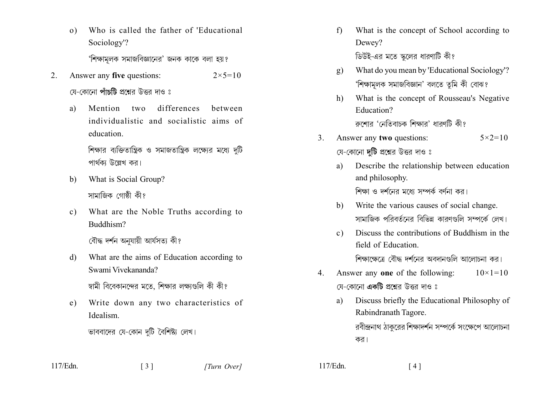Who is called the father of 'Educational  $\Omega$ Sociology'?

'শিক্ষামলক সমাজবিজ্ঞানের' জনক কাকে বলা হয়?

- Answer any five questions:  $2 \times 5 = 10$  $2^{\circ}$ য়ে-কোনো **পাঁচটি** প্রশ্নের উত্তর দাও ঃ
	- Mention two differences a) hetween individualistic and socialistic aims of education

শিক্ষার ব্যক্তিতান্ত্রিক ও সমাজতান্ত্রিক লক্ষ্যের মধ্যে দটি পার্থকা উল্লেখ কর।

- What is Social Group?  $b)$ সামাজিক গোষ্ঠী কী?
- What are the Noble Truths according to  $c)$ Buddhism?

বৌদ্ধ দৰ্শন অনুযায়ী আৰ্যসত্য কী?

 $d)$ What are the aims of Education according to Swami Vivekananda?

স্বামী বিবেকানন্দের মতে, শিক্ষার লক্ষ্যগুলি কী কী?

Write down any two characteristics of  $e)$ Idealism

ভাববাদের যে-কোন দুটি বৈশিষ্ট্য লেখ।

 $\begin{bmatrix} 3 \end{bmatrix}$ 

- What is the concept of School according to  $f$ Dewey? ডিউই-এর মতে স্কলের ধারণাটি কী?
- What do you mean by 'Educational Sociology'?  $g)$ 'শিক্ষামলক সমাজবিজ্ঞান' বলতে তমি কী বোঝ?
- What is the concept of Rousseau's Negative  $h$ ) Education? ৰুশোৱ 'নেতিবাচক শিক্ষাৱ' ধাৱণটি কী?
- Answer any two questions:  $\mathcal{E}$  $5 \times 2 = 10$ যে-কোনো **দটি** প্রশ্নের উত্তর দাও ঃ
	- Describe the relationship between education a) and philosophy. শিক্ষা ও দর্শনের মধ্যে সম্পর্ক বর্ণনা কর।
	- Write the various causes of social change. b) সামাজিক পরিবর্তনের বিভিন্ন কারণগুলি সম্পর্কে লেখ।
	- Discuss the contributions of Buddhism in the  $c)$ field of Education শিক্ষাক্ষেত্রে বৌদ্ধ দর্শনের অবদানগুলি আলোচনা কর।
- Answer any one of the following:  $10 \times 1 = 10$  $4<sup>1</sup>$ য়ে-কোনো **একটি** প্রশ্নের উত্তর দাও ঃ
	- Discuss briefly the Educational Philosophy of a) Rabindranath Tagore. রবীন্দ্রনাথ ঠাকরের শিক্ষাদর্শন সম্পর্কে সংক্ষেপে আলোচনা কর।

117/Edn.